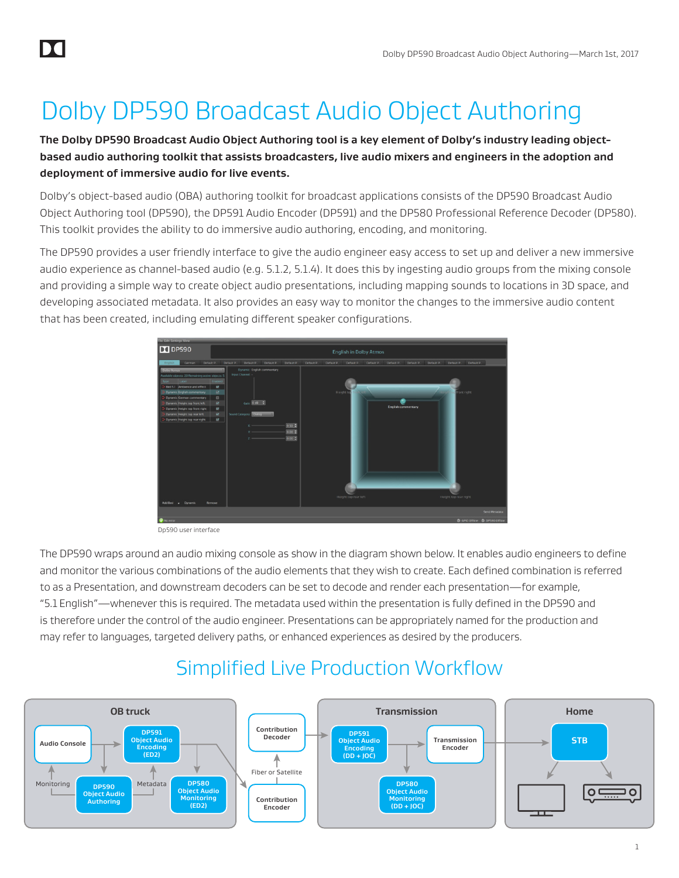# Dolby DP590 Broadcast Audio Object Authoring

**The Dolby DP590 Broadcast Audio Object Authoring tool is a key element of Dolby's industry leading objectbased audio authoring toolkit that assists broadcasters, live audio mixers and engineers in the adoption and deployment of immersive audio for live events.**

Dolby's object-based audio (OBA) authoring toolkit for broadcast applications consists of the DP590 Broadcast Audio Object Authoring tool (DP590), the DP591 Audio Encoder (DP591) and the DP580 Professional Reference Decoder (DP580). This toolkit provides the ability to do immersive audio authoring, encoding, and monitoring.

The DP590 provides a user friendly interface to give the audio engineer easy access to set up and deliver a new immersive audio experience as channel-based audio (e.g. 5.1.2, 5.1.4). It does this by ingesting audio groups from the mixing console and providing a simple way to create object audio presentations, including mapping sounds to locations in 3D space, and developing associated metadata. It also provides an easy way to monitor the changes to the immersive audio content that has been created, including emulating different speaker configurations.



Dp590 user interface

The DP590 wraps around an audio mixing console as show in the diagram shown below. It enables audio engineers to define and monitor the various combinations of the audio elements that they wish to create. Each defined combination is referred to as a Presentation, and downstream decoders can be set to decode and render each presentation—for example, "5.1 English"—whenever this is required. The metadata used within the presentation is fully defined in the DP590 and is therefore under the control of the audio engineer. Presentations can be appropriately named for the production and may refer to languages, targeted delivery paths, or enhanced experiences as desired by the producers.

# Simplified Live Production Workflow Simplified Live Production Workflow

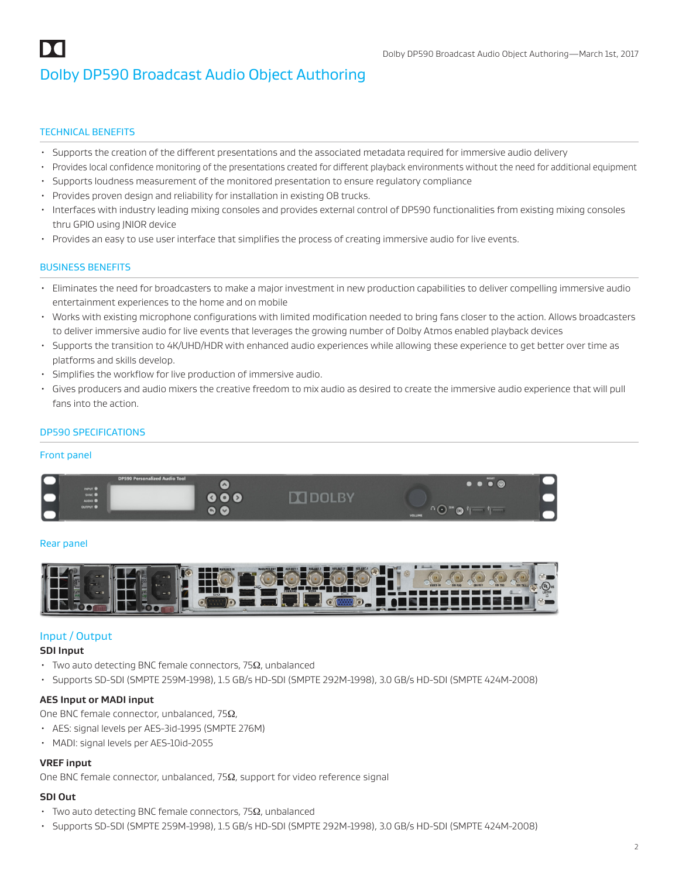#### TECHNICAL BENEFITS

- Supports the creation of the different presentations and the associated metadata required for immersive audio delivery
- Provides local confidence monitoring of the presentations created for different playback environments without the need for additional equipment
- Supports loudness measurement of the monitored presentation to ensure regulatory compliance
- Provides proven design and reliability for installation in existing OB trucks.
- Interfaces with industry leading mixing consoles and provides external control of DP590 functionalities from existing mixing consoles thru GPIO using JNIOR device
- Provides an easy to use user interface that simplifies the process of creating immersive audio for live events.

#### BUSINESS BENEFITS

- Eliminates the need for broadcasters to make a major investment in new production capabilities to deliver compelling immersive audio entertainment experiences to the home and on mobile
- Works with existing microphone configurations with limited modification needed to bring fans closer to the action. Allows broadcasters to deliver immersive audio for live events that leverages the growing number of Dolby Atmos enabled playback devices
- Supports the transition to 4K/UHD/HDR with enhanced audio experiences while allowing these experience to get better over time as platforms and skills develop.
- Simplifies the workflow for live production of immersive audio.
- Gives producers and audio mixers the creative freedom to mix audio as desired to create the immersive audio experience that will pull fans into the action.

#### DP590 SPECIFICATIONS

#### Front panel



#### Rear panel



#### Input / Output

#### **SDI Input**

- $\cdot$  Two auto detecting BNC female connectors, 75 $\Omega$ , unbalanced
- Supports SD-SDI (SMPTE 259M-1998), 1.5 GB/s HD-SDI (SMPTE 292M-1998), 3.0 GB/s HD-SDI (SMPTE 424M-2008)

#### **AES Input or MADI input**

One BNC female connector, unbalanced, 75Ω,

- AES: signal levels per AES-3id-1995 (SMPTE 276M)
- MADI: signal levels per AES-10id-2055

#### **VREF input**

One BNC female connector, unbalanced, 75Ω, support for video reference signal

### **SDI Out**

- $\cdot$  Two auto detecting BNC female connectors, 75 $\Omega$ , unbalanced
- Supports SD-SDI (SMPTE 259M-1998), 1.5 GB/s HD-SDI (SMPTE 292M-1998), 3.0 GB/s HD-SDI (SMPTE 424M-2008)